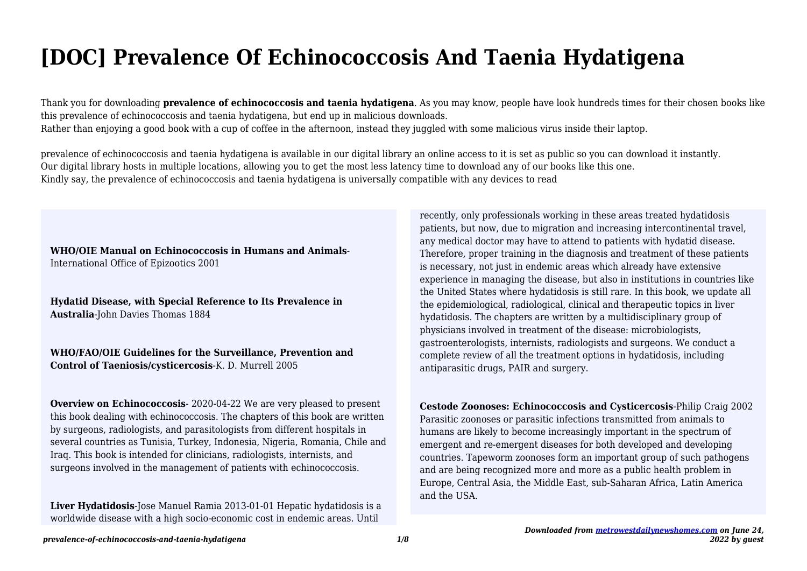# **[DOC] Prevalence Of Echinococcosis And Taenia Hydatigena**

Thank you for downloading **prevalence of echinococcosis and taenia hydatigena**. As you may know, people have look hundreds times for their chosen books like this prevalence of echinococcosis and taenia hydatigena, but end up in malicious downloads. Rather than enjoying a good book with a cup of coffee in the afternoon, instead they juggled with some malicious virus inside their laptop.

prevalence of echinococcosis and taenia hydatigena is available in our digital library an online access to it is set as public so you can download it instantly. Our digital library hosts in multiple locations, allowing you to get the most less latency time to download any of our books like this one. Kindly say, the prevalence of echinococcosis and taenia hydatigena is universally compatible with any devices to read

#### **WHO/OIE Manual on Echinococcosis in Humans and Animals**-International Office of Epizootics 2001

**Hydatid Disease, with Special Reference to Its Prevalence in Australia**-John Davies Thomas 1884

### **WHO/FAO/OIE Guidelines for the Surveillance, Prevention and Control of Taeniosis/cysticercosis**-K. D. Murrell 2005

**Overview on Echinococcosis**- 2020-04-22 We are very pleased to present this book dealing with echinococcosis. The chapters of this book are written by surgeons, radiologists, and parasitologists from different hospitals in several countries as Tunisia, Turkey, Indonesia, Nigeria, Romania, Chile and Iraq. This book is intended for clinicians, radiologists, internists, and surgeons involved in the management of patients with echinococcosis.

**Liver Hydatidosis**-Jose Manuel Ramia 2013-01-01 Hepatic hydatidosis is a worldwide disease with a high socio-economic cost in endemic areas. Until

recently, only professionals working in these areas treated hydatidosis patients, but now, due to migration and increasing intercontinental travel, any medical doctor may have to attend to patients with hydatid disease. Therefore, proper training in the diagnosis and treatment of these patients is necessary, not just in endemic areas which already have extensive experience in managing the disease, but also in institutions in countries like the United States where hydatidosis is still rare. In this book, we update all the epidemiological, radiological, clinical and therapeutic topics in liver hydatidosis. The chapters are written by a multidisciplinary group of physicians involved in treatment of the disease: microbiologists, gastroenterologists, internists, radiologists and surgeons. We conduct a complete review of all the treatment options in hydatidosis, including antiparasitic drugs, PAIR and surgery.

# **Cestode Zoonoses: Echinococcosis and Cysticercosis**-Philip Craig 2002 Parasitic zoonoses or parasitic infections transmitted from animals to humans are likely to become increasingly important in the spectrum of emergent and re-emergent diseases for both developed and developing countries. Tapeworm zoonoses form an important group of such pathogens and are being recognized more and more as a public health problem in Europe, Central Asia, the Middle East, sub-Saharan Africa, Latin America and the USA.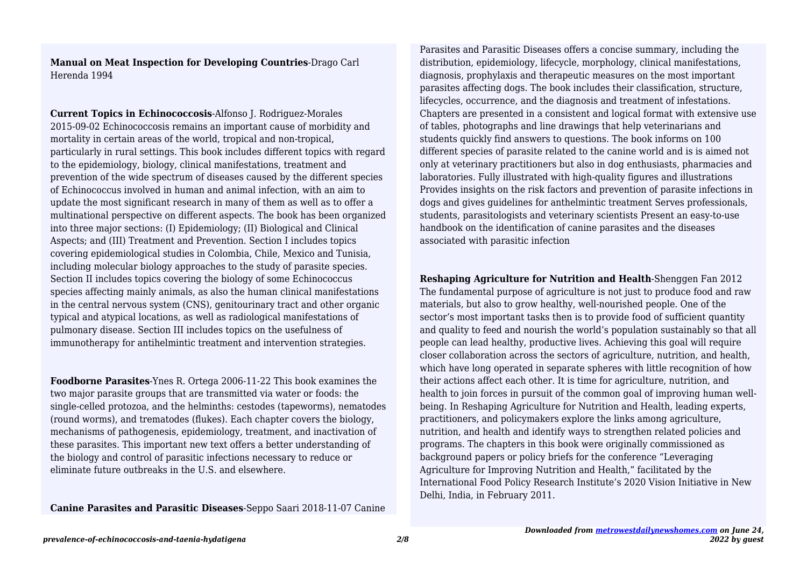**Manual on Meat Inspection for Developing Countries**-Drago Carl Herenda 1994

**Current Topics in Echinococcosis**-Alfonso J. Rodriguez-Morales 2015-09-02 Echinococcosis remains an important cause of morbidity and mortality in certain areas of the world, tropical and non-tropical, particularly in rural settings. This book includes different topics with regard to the epidemiology, biology, clinical manifestations, treatment and prevention of the wide spectrum of diseases caused by the different species of Echinococcus involved in human and animal infection, with an aim to update the most significant research in many of them as well as to offer a multinational perspective on different aspects. The book has been organized into three major sections: (I) Epidemiology; (II) Biological and Clinical Aspects; and (III) Treatment and Prevention. Section I includes topics covering epidemiological studies in Colombia, Chile, Mexico and Tunisia, including molecular biology approaches to the study of parasite species. Section II includes topics covering the biology of some Echinococcus species affecting mainly animals, as also the human clinical manifestations in the central nervous system (CNS), genitourinary tract and other organic typical and atypical locations, as well as radiological manifestations of pulmonary disease. Section III includes topics on the usefulness of immunotherapy for antihelmintic treatment and intervention strategies.

**Foodborne Parasites**-Ynes R. Ortega 2006-11-22 This book examines the two major parasite groups that are transmitted via water or foods: the single-celled protozoa, and the helminths: cestodes (tapeworms), nematodes (round worms), and trematodes (flukes). Each chapter covers the biology, mechanisms of pathogenesis, epidemiology, treatment, and inactivation of these parasites. This important new text offers a better understanding of the biology and control of parasitic infections necessary to reduce or eliminate future outbreaks in the U.S. and elsewhere.

**Canine Parasites and Parasitic Diseases**-Seppo Saari 2018-11-07 Canine

Parasites and Parasitic Diseases offers a concise summary, including the distribution, epidemiology, lifecycle, morphology, clinical manifestations, diagnosis, prophylaxis and therapeutic measures on the most important parasites affecting dogs. The book includes their classification, structure, lifecycles, occurrence, and the diagnosis and treatment of infestations. Chapters are presented in a consistent and logical format with extensive use of tables, photographs and line drawings that help veterinarians and students quickly find answers to questions. The book informs on 100 different species of parasite related to the canine world and is is aimed not only at veterinary practitioners but also in dog enthusiasts, pharmacies and laboratories. Fully illustrated with high-quality figures and illustrations Provides insights on the risk factors and prevention of parasite infections in dogs and gives guidelines for anthelmintic treatment Serves professionals, students, parasitologists and veterinary scientists Present an easy-to-use handbook on the identification of canine parasites and the diseases associated with parasitic infection

**Reshaping Agriculture for Nutrition and Health**-Shenggen Fan 2012 The fundamental purpose of agriculture is not just to produce food and raw materials, but also to grow healthy, well-nourished people. One of the sector's most important tasks then is to provide food of sufficient quantity and quality to feed and nourish the world's population sustainably so that all people can lead healthy, productive lives. Achieving this goal will require closer collaboration across the sectors of agriculture, nutrition, and health, which have long operated in separate spheres with little recognition of how their actions affect each other. It is time for agriculture, nutrition, and health to join forces in pursuit of the common goal of improving human wellbeing. In Reshaping Agriculture for Nutrition and Health, leading experts, practitioners, and policymakers explore the links among agriculture, nutrition, and health and identify ways to strengthen related policies and programs. The chapters in this book were originally commissioned as background papers or policy briefs for the conference "Leveraging Agriculture for Improving Nutrition and Health," facilitated by the International Food Policy Research Institute's 2020 Vision Initiative in New Delhi, India, in February 2011.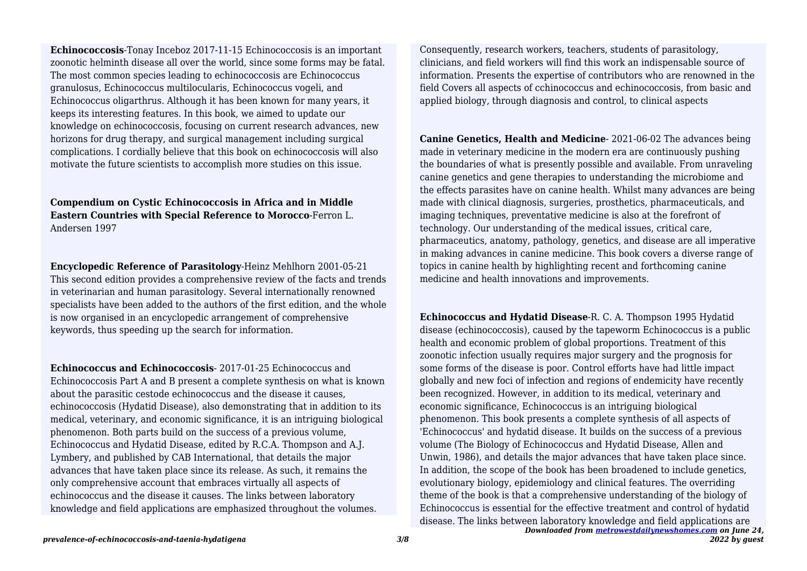**Echinococcosis**-Tonay Inceboz 2017-11-15 Echinococcosis is an important zoonotic helminth disease all over the world, since some forms may be fatal. The most common species leading to echinococcosis are Echinococcus granulosus, Echinococcus multilocularis, Echinococcus vogeli, and Echinococcus oligarthrus. Although it has been known for many years, it keeps its interesting features. In this book, we aimed to update our knowledge on echinococcosis, focusing on current research advances, new horizons for drug therapy, and surgical management including surgical complications. I cordially believe that this book on echinococcosis will also motivate the future scientists to accomplish more studies on this issue.

**Compendium on Cystic Echinococcosis in Africa and in Middle Eastern Countries with Special Reference to Morocco**-Ferron L. Andersen 1997

**Encyclopedic Reference of Parasitology**-Heinz Mehlhorn 2001-05-21 This second edition provides a comprehensive review of the facts and trends in veterinarian and human parasitology. Several internationally renowned specialists have been added to the authors of the first edition, and the whole is now organised in an encyclopedic arrangement of comprehensive keywords, thus speeding up the search for information.

**Echinococcus and Echinococcosis**- 2017-01-25 Echinococcus and Echinococcosis Part A and B present a complete synthesis on what is known about the parasitic cestode echinococcus and the disease it causes, echinococcosis (Hydatid Disease), also demonstrating that in addition to its medical, veterinary, and economic significance, it is an intriguing biological phenomenon. Both parts build on the success of a previous volume, Echinococcus and Hydatid Disease, edited by R.C.A. Thompson and A.J. Lymbery, and published by CAB International, that details the major advances that have taken place since its release. As such, it remains the only comprehensive account that embraces virtually all aspects of echinococcus and the disease it causes. The links between laboratory knowledge and field applications are emphasized throughout the volumes.

Consequently, research workers, teachers, students of parasitology, clinicians, and field workers will find this work an indispensable source of information. Presents the expertise of contributors who are renowned in the field Covers all aspects of cchinococcus and echinococcosis, from basic and applied biology, through diagnosis and control, to clinical aspects

**Canine Genetics, Health and Medicine**- 2021-06-02 The advances being made in veterinary medicine in the modern era are continuously pushing the boundaries of what is presently possible and available. From unraveling canine genetics and gene therapies to understanding the microbiome and the effects parasites have on canine health. Whilst many advances are being made with clinical diagnosis, surgeries, prosthetics, pharmaceuticals, and imaging techniques, preventative medicine is also at the forefront of technology. Our understanding of the medical issues, critical care, pharmaceutics, anatomy, pathology, genetics, and disease are all imperative in making advances in canine medicine. This book covers a diverse range of topics in canine health by highlighting recent and forthcoming canine medicine and health innovations and improvements.

*Downloaded from [metrowestdailynewshomes.com](http://metrowestdailynewshomes.com) on June 24,* **Echinococcus and Hydatid Disease**-R. C. A. Thompson 1995 Hydatid disease (echinococcosis), caused by the tapeworm Echinococcus is a public health and economic problem of global proportions. Treatment of this zoonotic infection usually requires major surgery and the prognosis for some forms of the disease is poor. Control efforts have had little impact globally and new foci of infection and regions of endemicity have recently been recognized. However, in addition to its medical, veterinary and economic significance, Echinococcus is an intriguing biological phenomenon. This book presents a complete synthesis of all aspects of 'Echinococcus' and hydatid disease. It builds on the success of a previous volume (The Biology of Echinococcus and Hydatid Disease, Allen and Unwin, 1986), and details the major advances that have taken place since. In addition, the scope of the book has been broadened to include genetics, evolutionary biology, epidemiology and clinical features. The overriding theme of the book is that a comprehensive understanding of the biology of Echinococcus is essential for the effective treatment and control of hydatid disease. The links between laboratory knowledge and field applications are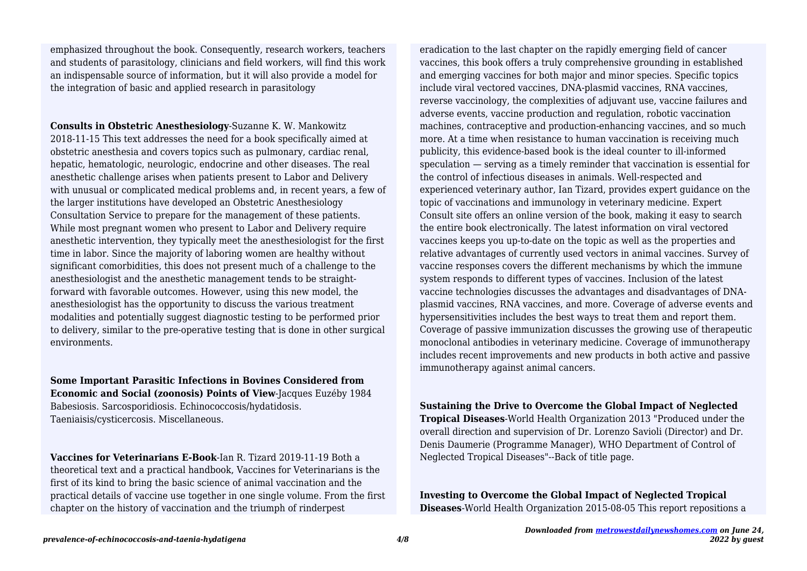emphasized throughout the book. Consequently, research workers, teachers and students of parasitology, clinicians and field workers, will find this work an indispensable source of information, but it will also provide a model for the integration of basic and applied research in parasitology

**Consults in Obstetric Anesthesiology**-Suzanne K. W. Mankowitz 2018-11-15 This text addresses the need for a book specifically aimed at obstetric anesthesia and covers topics such as pulmonary, cardiac renal, hepatic, hematologic, neurologic, endocrine and other diseases. The real anesthetic challenge arises when patients present to Labor and Delivery with unusual or complicated medical problems and, in recent years, a few of the larger institutions have developed an Obstetric Anesthesiology Consultation Service to prepare for the management of these patients. While most pregnant women who present to Labor and Delivery require anesthetic intervention, they typically meet the anesthesiologist for the first time in labor. Since the majority of laboring women are healthy without significant comorbidities, this does not present much of a challenge to the anesthesiologist and the anesthetic management tends to be straightforward with favorable outcomes. However, using this new model, the anesthesiologist has the opportunity to discuss the various treatment modalities and potentially suggest diagnostic testing to be performed prior to delivery, similar to the pre-operative testing that is done in other surgical environments.

**Some Important Parasitic Infections in Bovines Considered from Economic and Social (zoonosis) Points of View**-Jacques Euzéby 1984 Babesiosis. Sarcosporidiosis. Echinococcosis/hydatidosis. Taeniaisis/cysticercosis. Miscellaneous.

**Vaccines for Veterinarians E-Book**-Ian R. Tizard 2019-11-19 Both a theoretical text and a practical handbook, Vaccines for Veterinarians is the first of its kind to bring the basic science of animal vaccination and the practical details of vaccine use together in one single volume. From the first chapter on the history of vaccination and the triumph of rinderpest

eradication to the last chapter on the rapidly emerging field of cancer vaccines, this book offers a truly comprehensive grounding in established and emerging vaccines for both major and minor species. Specific topics include viral vectored vaccines, DNA-plasmid vaccines, RNA vaccines, reverse vaccinology, the complexities of adjuvant use, vaccine failures and adverse events, vaccine production and regulation, robotic vaccination machines, contraceptive and production-enhancing vaccines, and so much more. At a time when resistance to human vaccination is receiving much publicity, this evidence-based book is the ideal counter to ill-informed speculation — serving as a timely reminder that vaccination is essential for the control of infectious diseases in animals. Well-respected and experienced veterinary author, Ian Tizard, provides expert guidance on the topic of vaccinations and immunology in veterinary medicine. Expert Consult site offers an online version of the book, making it easy to search the entire book electronically. The latest information on viral vectored vaccines keeps you up-to-date on the topic as well as the properties and relative advantages of currently used vectors in animal vaccines. Survey of vaccine responses covers the different mechanisms by which the immune system responds to different types of vaccines. Inclusion of the latest vaccine technologies discusses the advantages and disadvantages of DNAplasmid vaccines, RNA vaccines, and more. Coverage of adverse events and hypersensitivities includes the best ways to treat them and report them. Coverage of passive immunization discusses the growing use of therapeutic monoclonal antibodies in veterinary medicine. Coverage of immunotherapy includes recent improvements and new products in both active and passive immunotherapy against animal cancers.

**Sustaining the Drive to Overcome the Global Impact of Neglected**

**Tropical Diseases**-World Health Organization 2013 "Produced under the overall direction and supervision of Dr. Lorenzo Savioli (Director) and Dr. Denis Daumerie (Programme Manager), WHO Department of Control of Neglected Tropical Diseases"--Back of title page.

**Investing to Overcome the Global Impact of Neglected Tropical Diseases**-World Health Organization 2015-08-05 This report repositions a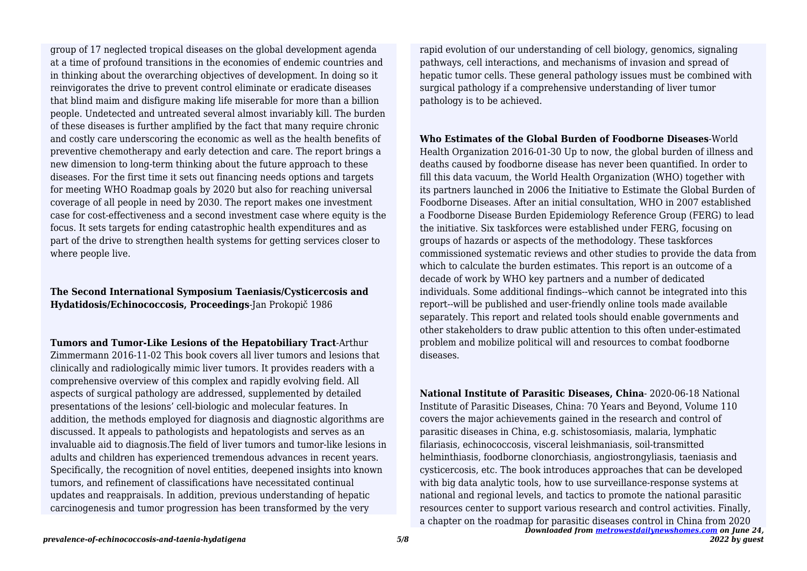group of 17 neglected tropical diseases on the global development agenda at a time of profound transitions in the economies of endemic countries and in thinking about the overarching objectives of development. In doing so it reinvigorates the drive to prevent control eliminate or eradicate diseases that blind maim and disfigure making life miserable for more than a billion people. Undetected and untreated several almost invariably kill. The burden of these diseases is further amplified by the fact that many require chronic and costly care underscoring the economic as well as the health benefits of preventive chemotherapy and early detection and care. The report brings a new dimension to long-term thinking about the future approach to these diseases. For the first time it sets out financing needs options and targets for meeting WHO Roadmap goals by 2020 but also for reaching universal coverage of all people in need by 2030. The report makes one investment case for cost-effectiveness and a second investment case where equity is the focus. It sets targets for ending catastrophic health expenditures and as part of the drive to strengthen health systems for getting services closer to where people live.

# **The Second International Symposium Taeniasis/Cysticercosis and Hydatidosis/Echinococcosis, Proceedings**-Jan Prokopič 1986

**Tumors and Tumor-Like Lesions of the Hepatobiliary Tract**-Arthur

Zimmermann 2016-11-02 This book covers all liver tumors and lesions that clinically and radiologically mimic liver tumors. It provides readers with a comprehensive overview of this complex and rapidly evolving field. All aspects of surgical pathology are addressed, supplemented by detailed presentations of the lesions' cell-biologic and molecular features. In addition, the methods employed for diagnosis and diagnostic algorithms are discussed. It appeals to pathologists and hepatologists and serves as an invaluable aid to diagnosis.The field of liver tumors and tumor-like lesions in adults and children has experienced tremendous advances in recent years. Specifically, the recognition of novel entities, deepened insights into known tumors, and refinement of classifications have necessitated continual updates and reappraisals. In addition, previous understanding of hepatic carcinogenesis and tumor progression has been transformed by the very

rapid evolution of our understanding of cell biology, genomics, signaling pathways, cell interactions, and mechanisms of invasion and spread of hepatic tumor cells. These general pathology issues must be combined with surgical pathology if a comprehensive understanding of liver tumor pathology is to be achieved.

**Who Estimates of the Global Burden of Foodborne Diseases**-World Health Organization 2016-01-30 Up to now, the global burden of illness and deaths caused by foodborne disease has never been quantified. In order to fill this data vacuum, the World Health Organization (WHO) together with its partners launched in 2006 the Initiative to Estimate the Global Burden of Foodborne Diseases. After an initial consultation, WHO in 2007 established a Foodborne Disease Burden Epidemiology Reference Group (FERG) to lead the initiative. Six taskforces were established under FERG, focusing on groups of hazards or aspects of the methodology. These taskforces commissioned systematic reviews and other studies to provide the data from which to calculate the burden estimates. This report is an outcome of a decade of work by WHO key partners and a number of dedicated individuals. Some additional findings--which cannot be integrated into this report--will be published and user-friendly online tools made available separately. This report and related tools should enable governments and other stakeholders to draw public attention to this often under-estimated problem and mobilize political will and resources to combat foodborne diseases.

*Downloaded from [metrowestdailynewshomes.com](http://metrowestdailynewshomes.com) on June 24,* **National Institute of Parasitic Diseases, China**- 2020-06-18 National Institute of Parasitic Diseases, China: 70 Years and Beyond, Volume 110 covers the major achievements gained in the research and control of parasitic diseases in China, e.g. schistosomiasis, malaria, lymphatic filariasis, echinococcosis, visceral leishmaniasis, soil-transmitted helminthiasis, foodborne clonorchiasis, angiostrongyliasis, taeniasis and cysticercosis, etc. The book introduces approaches that can be developed with big data analytic tools, how to use surveillance-response systems at national and regional levels, and tactics to promote the national parasitic resources center to support various research and control activities. Finally, a chapter on the roadmap for parasitic diseases control in China from 2020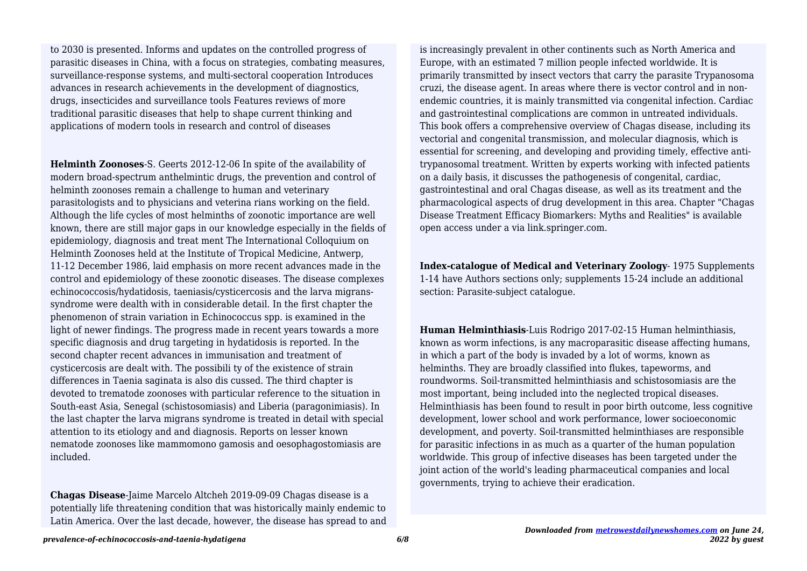to 2030 is presented. Informs and updates on the controlled progress of parasitic diseases in China, with a focus on strategies, combating measures, surveillance-response systems, and multi-sectoral cooperation Introduces advances in research achievements in the development of diagnostics, drugs, insecticides and surveillance tools Features reviews of more traditional parasitic diseases that help to shape current thinking and applications of modern tools in research and control of diseases

**Helminth Zoonoses**-S. Geerts 2012-12-06 In spite of the availability of modern broad-spectrum anthelmintic drugs, the prevention and control of helminth zoonoses remain a challenge to human and veterinary parasitologists and to physicians and veterina rians working on the field. Although the life cycles of most helminths of zoonotic importance are well known, there are still major gaps in our knowledge especially in the fields of epidemiology, diagnosis and treat ment The International Colloquium on Helminth Zoonoses held at the Institute of Tropical Medicine, Antwerp, 11-12 December 1986, laid emphasis on more recent advances made in the control and epidemiology of these zoonotic diseases. The disease complexes echinococcosis/hydatidosis, taeniasis/cysticercosis and the larva migranssyndrome were dealth with in considerable detail. In the first chapter the phenomenon of strain variation in Echinococcus spp. is examined in the light of newer findings. The progress made in recent years towards a more specific diagnosis and drug targeting in hydatidosis is reported. In the second chapter recent advances in immunisation and treatment of cysticercosis are dealt with. The possibili ty of the existence of strain differences in Taenia saginata is also dis cussed. The third chapter is devoted to trematode zoonoses with particular reference to the situation in South-east Asia, Senegal (schistosomiasis) and Liberia (paragonimiasis). In the last chapter the larva migrans syndrome is treated in detail with special attention to its etiology and and diagnosis. Reports on lesser known nematode zoonoses like mammomono gamosis and oesophagostomiasis are included.

**Chagas Disease**-Jaime Marcelo Altcheh 2019-09-09 Chagas disease is a potentially life threatening condition that was historically mainly endemic to Latin America. Over the last decade, however, the disease has spread to and is increasingly prevalent in other continents such as North America and Europe, with an estimated 7 million people infected worldwide. It is primarily transmitted by insect vectors that carry the parasite Trypanosoma cruzi, the disease agent. In areas where there is vector control and in nonendemic countries, it is mainly transmitted via congenital infection. Cardiac and gastrointestinal complications are common in untreated individuals. This book offers a comprehensive overview of Chagas disease, including its vectorial and congenital transmission, and molecular diagnosis, which is essential for screening, and developing and providing timely, effective antitrypanosomal treatment. Written by experts working with infected patients on a daily basis, it discusses the pathogenesis of congenital, cardiac, gastrointestinal and oral Chagas disease, as well as its treatment and the pharmacological aspects of drug development in this area. Chapter "Chagas Disease Treatment Efficacy Biomarkers: Myths and Realities" is available open access under a via link.springer.com.

**Index-catalogue of Medical and Veterinary Zoology**- 1975 Supplements 1-14 have Authors sections only; supplements 15-24 include an additional section: Parasite-subject catalogue.

**Human Helminthiasis**-Luis Rodrigo 2017-02-15 Human helminthiasis, known as worm infections, is any macroparasitic disease affecting humans, in which a part of the body is invaded by a lot of worms, known as helminths. They are broadly classified into flukes, tapeworms, and roundworms. Soil-transmitted helminthiasis and schistosomiasis are the most important, being included into the neglected tropical diseases. Helminthiasis has been found to result in poor birth outcome, less cognitive development, lower school and work performance, lower socioeconomic development, and poverty. Soil-transmitted helminthiases are responsible for parasitic infections in as much as a quarter of the human population worldwide. This group of infective diseases has been targeted under the joint action of the world's leading pharmaceutical companies and local governments, trying to achieve their eradication.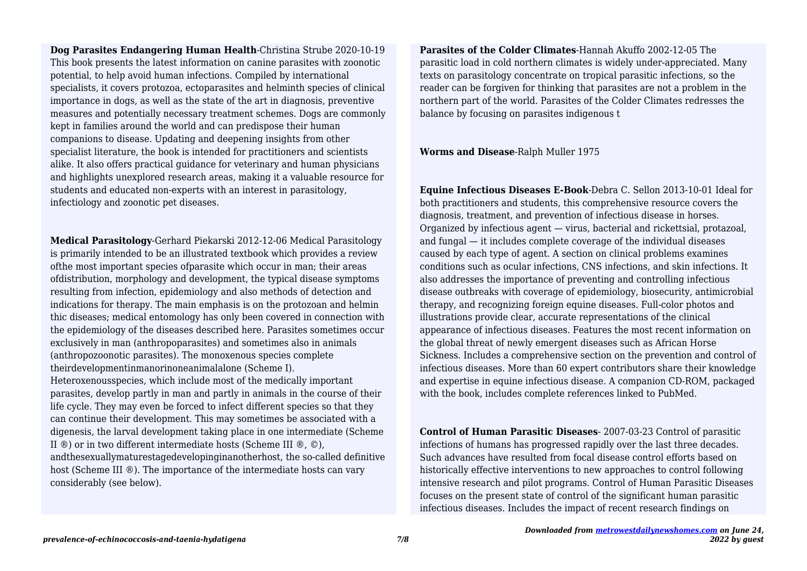**Dog Parasites Endangering Human Health**-Christina Strube 2020-10-19 This book presents the latest information on canine parasites with zoonotic potential, to help avoid human infections. Compiled by international specialists, it covers protozoa, ectoparasites and helminth species of clinical importance in dogs, as well as the state of the art in diagnosis, preventive measures and potentially necessary treatment schemes. Dogs are commonly kept in families around the world and can predispose their human companions to disease. Updating and deepening insights from other specialist literature, the book is intended for practitioners and scientists alike. It also offers practical guidance for veterinary and human physicians and highlights unexplored research areas, making it a valuable resource for students and educated non-experts with an interest in parasitology, infectiology and zoonotic pet diseases.

**Medical Parasitology**-Gerhard Piekarski 2012-12-06 Medical Parasitology is primarily intended to be an illustrated textbook which provides a review ofthe most important species ofparasite which occur in man; their areas ofdistribution, morphology and development, the typical disease symptoms resulting from infection, epidemiology and also methods of detection and indications for therapy. The main emphasis is on the protozoan and helmin thic diseases; medical entomology has only been covered in connection with the epidemiology of the diseases described here. Parasites sometimes occur exclusively in man (anthropoparasites) and sometimes also in animals (anthropozoonotic parasites). The monoxenous species complete theirdevelopmentinmanorinoneanimalalone (Scheme I). Heteroxenousspecies, which include most of the medically important parasites, develop partly in man and partly in animals in the course of their life cycle. They may even be forced to infect different species so that they can continue their development. This may sometimes be associated with a digenesis, the larval development taking place in one intermediate (Scheme II ®) or in two different intermediate hosts (Scheme III ®, ©), andthesexuallymaturestagedevelopinginanotherhost, the so-called definitive host (Scheme III ®). The importance of the intermediate hosts can vary considerably (see below).

**Parasites of the Colder Climates**-Hannah Akuffo 2002-12-05 The parasitic load in cold northern climates is widely under-appreciated. Many texts on parasitology concentrate on tropical parasitic infections, so the reader can be forgiven for thinking that parasites are not a problem in the northern part of the world. Parasites of the Colder Climates redresses the balance by focusing on parasites indigenous t

**Worms and Disease**-Ralph Muller 1975

**Equine Infectious Diseases E-Book**-Debra C. Sellon 2013-10-01 Ideal for both practitioners and students, this comprehensive resource covers the diagnosis, treatment, and prevention of infectious disease in horses. Organized by infectious agent — virus, bacterial and rickettsial, protazoal, and fungal — it includes complete coverage of the individual diseases caused by each type of agent. A section on clinical problems examines conditions such as ocular infections, CNS infections, and skin infections. It also addresses the importance of preventing and controlling infectious disease outbreaks with coverage of epidemiology, biosecurity, antimicrobial therapy, and recognizing foreign equine diseases. Full-color photos and illustrations provide clear, accurate representations of the clinical appearance of infectious diseases. Features the most recent information on the global threat of newly emergent diseases such as African Horse Sickness. Includes a comprehensive section on the prevention and control of infectious diseases. More than 60 expert contributors share their knowledge and expertise in equine infectious disease. A companion CD-ROM, packaged with the book, includes complete references linked to PubMed.

**Control of Human Parasitic Diseases**- 2007-03-23 Control of parasitic infections of humans has progressed rapidly over the last three decades. Such advances have resulted from focal disease control efforts based on historically effective interventions to new approaches to control following intensive research and pilot programs. Control of Human Parasitic Diseases focuses on the present state of control of the significant human parasitic infectious diseases. Includes the impact of recent research findings on